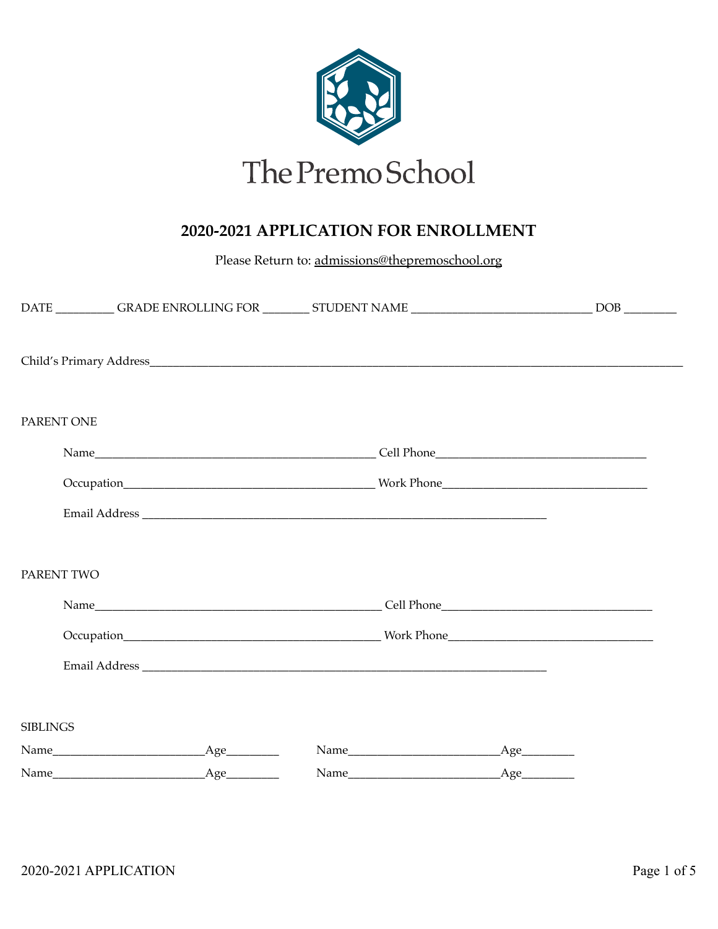

## 2020-2021 APPLICATION FOR ENROLLMENT

Please Return to: admissions@thepremoschool.org

|                 | DATE ____________GRADE ENROLLING FOR ___________ STUDENT NAME ___________________________________DOB _________                                                                                                                 |  |
|-----------------|--------------------------------------------------------------------------------------------------------------------------------------------------------------------------------------------------------------------------------|--|
|                 |                                                                                                                                                                                                                                |  |
| PARENT ONE      |                                                                                                                                                                                                                                |  |
|                 |                                                                                                                                                                                                                                |  |
|                 | Occupation Mork Phone Mork Phone Mork Phone Mork Phone More Community of the Community of the Community of the Community of the Community of the Community of the Community of the Community of the Community of the Community |  |
|                 |                                                                                                                                                                                                                                |  |
| PARENT TWO      |                                                                                                                                                                                                                                |  |
|                 |                                                                                                                                                                                                                                |  |
|                 |                                                                                                                                                                                                                                |  |
|                 |                                                                                                                                                                                                                                |  |
|                 |                                                                                                                                                                                                                                |  |
| <b>SIBLINGS</b> |                                                                                                                                                                                                                                |  |
|                 |                                                                                                                                                                                                                                |  |
|                 |                                                                                                                                                                                                                                |  |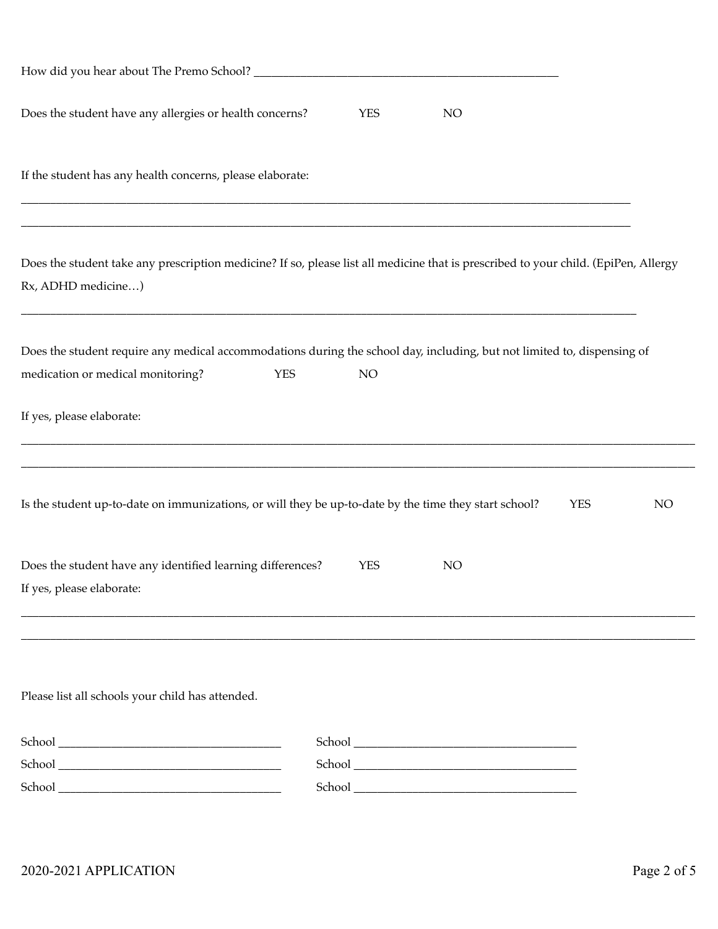| How did you hear about The Premo School? ___________                                                                                                                             |  |
|----------------------------------------------------------------------------------------------------------------------------------------------------------------------------------|--|
| Does the student have any allergies or health concerns?<br><b>YES</b><br>NO                                                                                                      |  |
| If the student has any health concerns, please elaborate:                                                                                                                        |  |
| Does the student take any prescription medicine? If so, please list all medicine that is prescribed to your child. (EpiPen, Allergy<br>Rx, ADHD medicine)                        |  |
| Does the student require any medical accommodations during the school day, including, but not limited to, dispensing of<br>medication or medical monitoring?<br><b>YES</b><br>NO |  |
| If yes, please elaborate:                                                                                                                                                        |  |
| Is the student up-to-date on immunizations, or will they be up-to-date by the time they start school?<br><b>YES</b><br>NO                                                        |  |
| Does the student have any identified learning differences?<br><b>YES</b><br>NO<br>If yes, please elaborate:                                                                      |  |
|                                                                                                                                                                                  |  |
| Please list all schools your child has attended.                                                                                                                                 |  |
|                                                                                                                                                                                  |  |
|                                                                                                                                                                                  |  |
|                                                                                                                                                                                  |  |
|                                                                                                                                                                                  |  |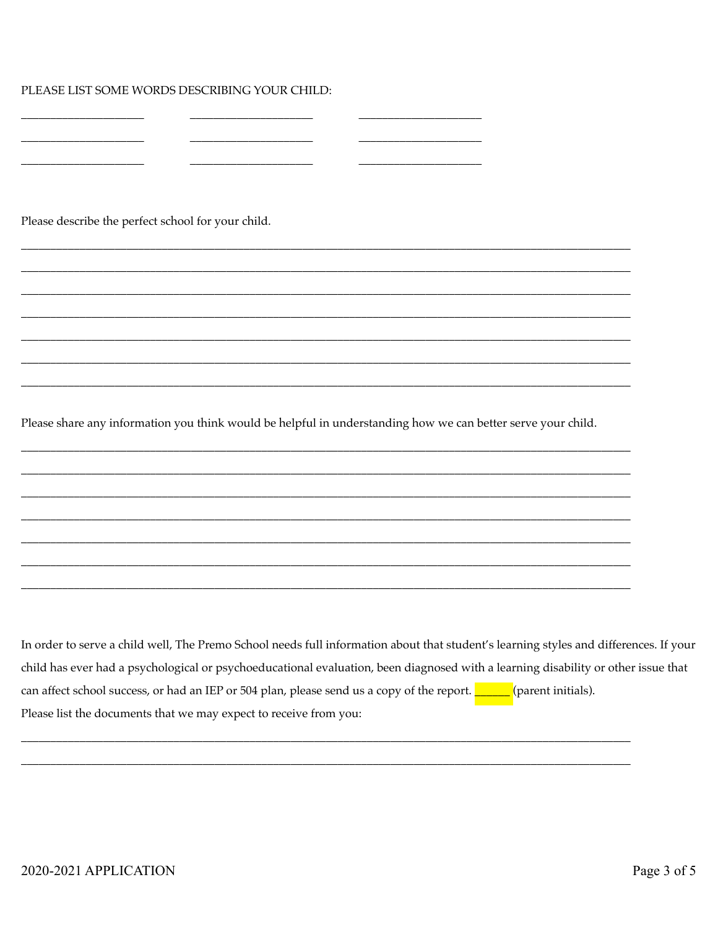PLEASE LIST SOME WORDS DESCRIBING YOUR CHILD:

Please describe the perfect school for your child.

Please share any information you think would be helpful in understanding how we can better serve your child.

In order to serve a child well, The Premo School needs full information about that student's learning styles and differences. If your child has ever had a psychological or psychoeducational evaluation, been diagnosed with a learning disability or other issue that can affect school success, or had an IEP or 504 plan, please send us a copy of the report. 11 (parent initials). Please list the documents that we may expect to receive from you: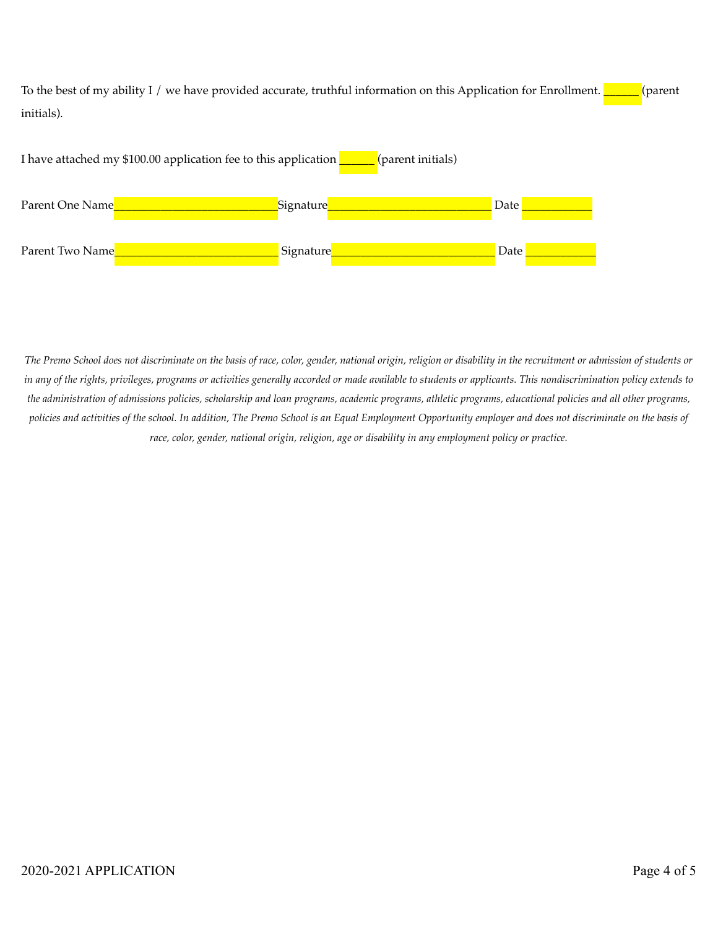To the best of my ability I / we have provided accurate, truthful information on this Application for Enrollment. \_\_\_\_\_\_ (parent initials).



*The Premo School does not discriminate on the basis of race, color, gender, national origin, religion or disability in the recruitment or admission of students or in any of the rights, privileges, programs or activities generally accorded or made available to students or applicants. This nondiscrimination policy extends to the administration of admissions policies, scholarship and loan programs, academic programs, athletic programs, educational policies and all other programs, policies and activities of the school. In addition, The Premo School is an Equal Employment Opportunity employer and does not discriminate on the basis of race, color, gender, national origin, religion, age or disability in any employment policy or practice.*